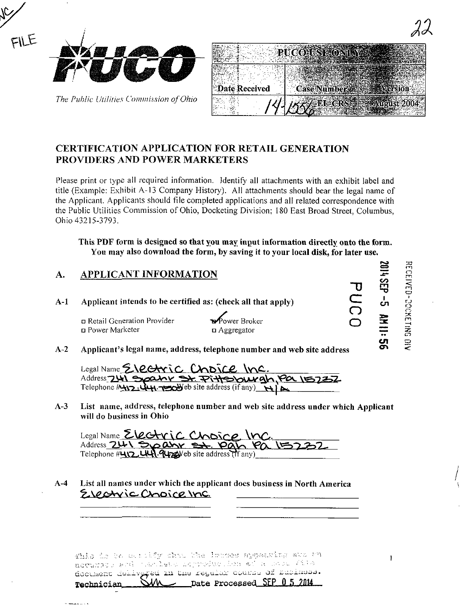

The Public Utilities Commission of Ohio

| Date Received<br>59 |  |
|---------------------|--|
|                     |  |

#### **CERTIFICATION APPLICATION FOR RETAIL GENERATION PROVIDERS AND POWER MARKETERS**

Please print or type all required information. Identify all attachments with an exhibit label and title (Example: Exhibit A-13 Company History). All attachments should bear the legal name of the Applicant. Applicants should file completed applications and all related correspondence with the Public Utilities Commission of Ohio, Docketing Division; 180 East Broad Street, Columbus, Ohio 43215-3793.

This PDF form is designed so that you may input information directly onto the form. You may also download the form, by saving it to your local disk, for later use.

#### APPLICANT INFORMATION A.

Applicant intends to be certified as: (check all that apply)  $A-1$ 

> n Retail Generation Provider n Power Marketer

Power Broker  $\Box$  Aggregator

 $A-2$ Applicant's legal name, address, telephone number and web site address

Legal Name Electric Choice Inc. Address 241 Spahr St. Pittsburgh, Pa 15737 Telephone  $\frac{1}{2}$   $\frac{1}{2}$   $\frac{1}{2}$   $\frac{1}{2}$   $\frac{1}{2}$   $\frac{1}{2}$   $\frac{1}{2}$   $\frac{1}{2}$   $\frac{1}{2}$   $\frac{1}{2}$   $\frac{1}{2}$   $\frac{1}{2}$   $\frac{1}{2}$   $\frac{1}{2}$   $\frac{1}{2}$   $\frac{1}{2}$   $\frac{1}{2}$   $\frac{1}{2}$   $\frac{1}{2}$   $\frac{1}{2}$   $\frac{1}{2}$   $\$ 

 $A-3$ List name, address, telephone number and web site address under which Applicant will do business in Ohio

Legal Name Electric Choice. In Address 241 Spann St. Pan Pa

List all names under which the applicant does business in North America  $A-4$ Electric Choice Inc.

This is to outsidy that the intense sypesming ave an acturate and then lead improduction of a chose field document dehivated in the regular course of Basiness.  $\angle$  Date Processed SEP 0.5 2014 SM Technician

**RECEIVED-00XETIMG**  $rac{1}{\sqrt{2}}$ 

SEP-5 MII:

**ဟူ** 

 $\mathbf{I}$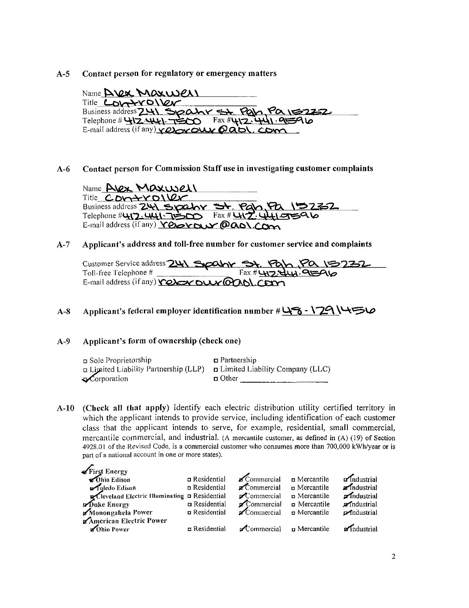#### A-5 Contact person for regulatory or emergency matters

Name  $\Delta$ Vex Maxwell Title **COVATYOVEY** Business address  $741$  Spahr St. Pah Pa  $15232$ Telephone # 412.441.7 $\leq$  Fax #412.441.95910 E-mail address (if any)  $\sqrt{Q}$   $\sim$   $Q \sqrt{Q}$ ,  $Q \sqrt{Q}$ ,  $Q \sqrt{Q}$ 

A-6 Contact person for Commission Staff use in investigating customer complaints

 $N$ ame Alex Maxwell Title  $CDy+YD\vee Qy$ <u>\DZZ</u> Business address Telephone # UJ,7: UU - TISOO Fax # UVZ : UU ETS QV E-mail address (if any)  $YQ$ 

A-7 Applicant's address and toll-free number for customer service and complaints

|                                              | Customer Service address 241 Spaln St. Pah Pa 15232 |
|----------------------------------------------|-----------------------------------------------------|
| E-mail address (if any) release our Gaol.com |                                                     |

A-8 Applicant's federal employer identification number  $\#\sqcup \rightarrow - \square$ 

#### A-9 Applicant's form of ownership (check one)

| □ Sole Proprietorship                                                             | $\Box$ Partnership |
|-----------------------------------------------------------------------------------|--------------------|
| $\Box$ Limited Liability Partnership (LLP) $\Box$ Limited Liability Company (LLC) |                    |
| $\sqrt{\ }$ Corporation                                                           | $\Box$ Other       |

A-10 (Check all that apply) Identify each electric distribution utility certified territory in which the applicant intends to provide service, including identification of each customer class that the applicant intends to serve, for example, residential, small commercial, mercantile commercial, and industrial. (A mercantile customer, as defined in (A) (19) of Section 4928.01 of the Revised Code, is a commercial customer who consumes more than 700,000 kWh/year or is part of a national account in one or more states).

| First Energy                                   |                    |                                                                   |              |                              |
|------------------------------------------------|--------------------|-------------------------------------------------------------------|--------------|------------------------------|
|                                                | n Residential      | Commercial <b>D</b> Mercantile                                    |              | $\sqrt{\mathsf{nd}}$ ustrial |
| <b>P</b> qledo Edison                          | n Residential      | $\blacktriangleright$ Commercial $\blacktriangleright$ Mercantile |              | $\blacksquare$ Industrial    |
| Cleveland Electric Illuminating a Residential  |                    | Commercial                                                        | n Mercantile | $\blacksquare$ Industrial    |
| <b>Poke Energy</b>                             | n Residential      | Commercial                                                        | n Mercantile | <b>Andustrial</b>            |
| Monongahela Power                              | Residential        | $\blacktriangleright$ Commercial $\Box$ Mercantile                |              | <b><i>p</i></b> industrial   |
| American Electric Power<br><b>Z</b> Ohio Power | $\Box$ Residential | $\blacktriangleright$ Commercial $\blacksquare$ Mercantile        |              | <b>a</b> Industrial          |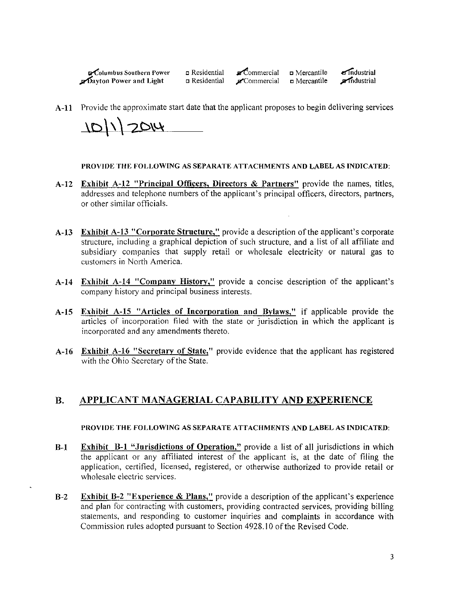$\epsilon$ Columbus Southern Power **n** Residential **n** Commercial **n** Mercantile **a** Industrial  $\mathcal{D}$ ayton Power and Light n Residential  $\mathcal{D}^{\infty}$ Commercial n Mercantile  $\mathcal{D}^{\infty}$ mdustrial

A-11 Provide the approximate start date that the applicant proposes to begin delivering services

10/1/2014

PROVIDE THE FOLLOWING AS SEPARATE ATTACHMENTS AND LABEL AS INDICATED:

- A-12 Exhibit A-12 "Principal Officers, Directors & Partners" provide the names, titles, addresses and telephone numbers of the applicant's principal officers, directors, partners, or other similar officials.
- A-13 Exhibit A-13 "Corporate Structure," provide a description of the applicant's corporate structure, including a graphical depiction of such structure, and a list of all affiliate and subsidiary companies that supply retail or wholesale electricity or natural gas to customers in North America.
- A-I4 Exhibit A-14 "Company History," provide a concise description of the applicant's company history and principal business interests.
- A-15 Exhibit A-15 "Articles of Incorporation and Bylaws," if applicable provide the articles of incorporation filed with the state or jurisdiction in which the applicant is incorporated and any amendments thereto.
- A-16 Exhibit A-16 "Secretary of State," provide evidence that the applicant has registered with the Ohio Secretary of the State.

#### B. APPLICANT MANAGERIAL CAPABILITY AND EXPERIENCE

#### PROVIDE THE FOLLOWING AS SEPARATE ATTACHMENTS AND LABEL AS INDICATED:

- B-1 Exhibit B-1 "Jurisdictions of Operation," provide a list of all jurisdictions in which the applicant or any affiliated interest of the applicant is, at the date of filing the application, certified, licensed, registered, or otherwise authorized to provide retail or wholesale electric services.
- B-2 Exhibit B-2 "Experience & Plans," provide a description of the applicant's experience and plan for contracting with customers, providing contracted services, providing billing statements, and responding to customer inquiries and complaints in accordance with Commission rules adopted pursuant to Section 4928.10 of the Revised Code.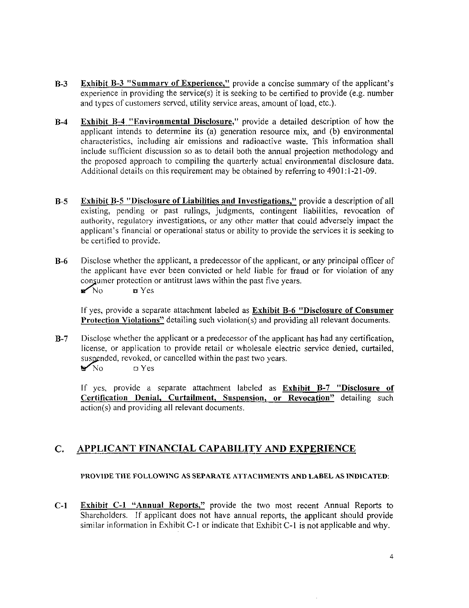- B-3 Exhibit B-3 "Summary of Experience." provide a concise summary of the applicant's experience in providing the service(s) it is seeking to be certified to provide (e.g. number and types of customers served, utility service areas, amount of load, etc.).
- B-4 Exhibit B-4 "Environmental Disclosure," provide a detailed description of how the applicant intends to determine its (a) generation resource mix, and (b) environmental characteristics, including air emissions and radioactive waste. This information shall include sufficient discussion so as to detail both the annual projection methodology and the proposed approach to compiling the quarterly actual environmental disclosure data. Additional details on this requirement may be obtained by referring to 4901:1-21-09.
- B-5 Exhibit B-5 "Disclosure of Liabilities and Investigations," provide a description of all existing, pending or past rulings, judgments, contingent liabilities, revocation of authority, regulatory investigations, or any other matter that could adversely impact the applicant's financial or operational status or ability to provide the services it is seeking to be certified to provide.
- B-6 Disclose whether the applicant, a predecessor of the applicant, or any principal officer of the applicant have ever been convicted or held liable for fraud or for violation of any consumer protection or antitrust laws within the past five years.

 $\blacksquare$ No  $\blacksquare$  Yes

If yes, provide a separate attachment labeled as Exhibit B-6 "Disclosure of Consumer Protection Violations" detailing such violation(s) and providing all relevant documents.

B-7 Disclose whether the applicant or a predecessor of the applicant has had any certification, license, or application to provide retail or wholesale electric service denied, curtailed, suspended, revoked, or cancelled within the past two years.  $N<sub>0</sub>$  D Yes

If yes, provide a separate attachment labeled as Exhibit B-7 "Disclosure of Certification Denial, Curtailment, Suspension, or Revocation" detailing such action(s) and providing all relevant documents.

#### C. APPLICANT FINANCIAL CAPABILITY AND EXPERIENCE

#### PROVIDE THE FOLLOWING AS SEPARATE ATTACHMENTS AND LABEL AS INDICATED;

C-1 Exhibit C-1 "Annual Reports," provide the two most recent Annual Reports to Shareholders. If applicant does not have annual reports, the applicant should provide similar information in Exhibit C-1 or indicate that Exhibit C-1 is not applicable and why.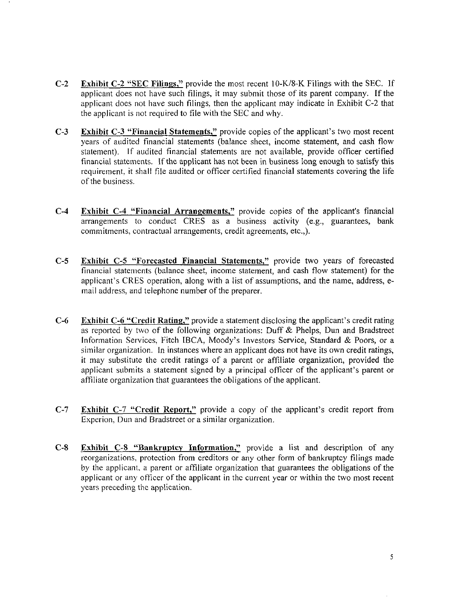- C-2 Exhibit C-2 ^'SEC Filings," provide the most recent 10-K/8-K Filings with the SEC. If applicant does not have such filings, it may submit those of its parent company. If the applicant does not have such filings, then the applicant may indicate in Exhibit C-2 that the applicant is not required to file with the SEC and why.
- C-3 Exhibit C-3 "Financial Statements," provide copies of the applicant's two most recent years of audited financial statements (balance sheet, income statement, and cash flow statement). If audited financial statements are not available, provide officer certified financial statements. If the applicant has not been in business long enough to satisfy this requirement, it shall file audited or officer certified financial statements covering the life of the business.
- C-4 Exhibit C-4 "Financial Arrangements," provide copies of the applicant's financial arrangements to conduct CRES as a business activity (e.g., guarantees, bank commitments, contractual arrangements, credit agreements, etc.,).
- C-5 Exhibit C-5 "Forecasted Financial Statements," provide two years of forecasted financial statements (balance sheet, income statement, and cash flow statement) for the applicant's CRES operation, along with a list of assumptions, and the name, address, email address, and telephone number of the preparer.
- C-6 Exhibit C-6 "Credit Rating." provide a statement disclosing the applicant's credit rating as reported by two of the following organizations: Duff & Phelps, Dun and Bradstreet Information Services, Fitch IBCA, Moody's Investors Service, Standard & Poors, or a similar organization. In instances where an applicant does not have its own credit ratings, it may substitute the credit ratings of a parent or affiliate organization, provided the applicant submits a statement signed by a principal officer of the applicant's parent or affiliate organization that guarantees the obligations of the applicant.
- C-7 Exhibit C-7 "Credit Report," provide a copy of the applicant's credit report from Experion, Dun and Bradstreet or a similar organization.
- C-8 Exhibit C-8 "Bankruptcy Information." provide a list and description of any reorganizations, protection from creditors or any other form of bankruptcy filings made by the applicant, a parent or affiliate organization that guarantees the obligations of the applicant or any officer of the applicant in the current year or within the two most recent years preceding the application.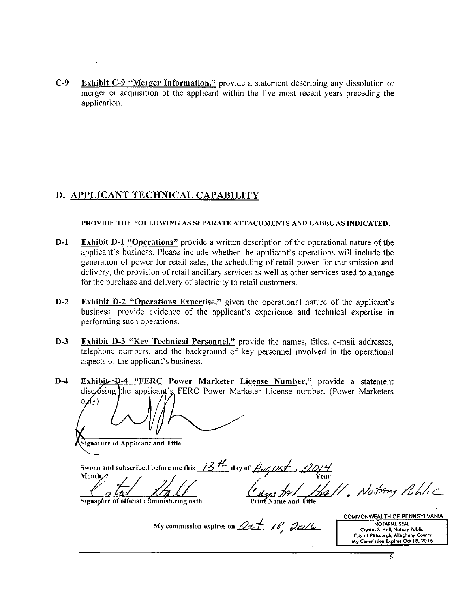C-9 Exhibit C-9 "Merger Information," provide a statement describing any dissolution or merger or acquisition of the applicant within the five most recent years preceding the application.

#### D. APPLICANT TECHNICAL CAPABILITY

PROVIDE THE FOLLOWING AS SEPARATE ATTACHMENTS AND LABEL AS INDICATED:

- D-1 Exhibit D-1 "Operations" provide a written description of the operational nature of the applicant's business. Please include whether the applicant's operations will include the generation of power for retail sales, the scheduling of retail power for transmission and delivery, the provision of retail ancillary services as well as other services used to arrange for the purchase and delivery of electricity to retail customers.
- D-2 Exhibit D-2 "Operations Expertise," given the operational nature of the applicant's business, provide evidence of the applicant's experience and technical expertise in performing such operations.
- D-3 Exhibit D-3 "Key Technical Personnel," provide the names, titles, e-mail addresses, telephone numbers, and the background of key personnel involved in the operational aspects of the applicant's business.

D-4 Exhibit-D-4 "FERC Power Marketer License Number," provide a statement disclosing the applicant's FERC Power Marketer License number. (Power Marketers  $\alpha$   $\alpha$ 

Signature of Applicant and Title

Sworn and subscribed before me this <u>10<sup>'</sup></u> day of  $H\alpha C\beta C$ ,  $\beta D/T$ Month  $\bigwedge$   $\bigwedge$   $\bigwedge$   $\bigwedge$   $\bigwedge$   $\bigwedge$   $\bigwedge$   $\bigwedge$   $\bigwedge$   $\bigwedge$   $\bigwedge$   $\bigwedge$   $\bigwedge$   $\bigwedge$   $\bigwedge$   $\bigwedge$   $\bigwedge$   $\bigwedge$   $\bigwedge$   $\bigwedge$   $\bigwedge$   $\bigwedge$   $\bigwedge$   $\bigwedge$   $\bigwedge$   $\bigwedge$   $\bigwedge$   $\bigwedge$   $\bigwedge$   $\bigwedge$   $\bigwedge$ 

Signature of official administering oath

Print Name and Title

Hall, Notary Public

My commission expires on  $\mathcal{Q}a f$  18, 2016

COMMONWEALTH OF PENNSYLVANIA NOTARIAL SEAL Crystal S. Hall, Notary Public City of Pittsburgh, Allegheny County My Commission Expires Oct 18, 2016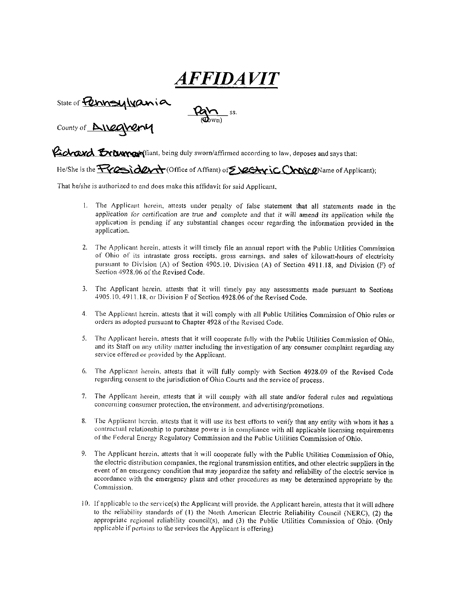AFFIDAVI

State of **Pennsylvania** 

County of  $\triangle$ *N20* 

**Lichard Externar** (liant, being duly sworn/affirmed according to law, deposes and says that:

(<Obwn)

He/She is the  $\overrightarrow{F\vee}\overrightarrow{Q\Rightarrow}\overrightarrow{dQ\vee\rightarrow}$  (Office of Aftiant) of  $\overrightarrow{S}\cancel{Q}\overrightarrow{C\rightarrow\gamma}\overset{\cdot}{C}$  C  $\overrightarrow{C}\sim\overrightarrow{Q}$ Name of Applicant);

That he/she is authorized to and does make this affidavit for said Applicant,

- 1. The Applicant herein, attests under penalty of false statement that all statements made in the application for certification are true and complete and that it will amend its application while the application is pending if any substantial changes occur regarding the information provided in the application.
- 2. The Applicant herein, attests it will timely file an annual report with the Public Utilities Commission of Ohio of its intrastate gross receipts, gross earnings, and sales of kilowatt-hours of electricity pursuant to Division (A) of Section 4905.10. Division (A) of Section 4911.18, and Division (F) of Section 4928.06 of the Revised Code.
- 3. The Applicant herein, attests that it will timely pay any assessments made pursuant to Sections 4905.10. 4911.18. or Division F of Section 4928.06 of the Revised Code.
- 4. The Applicant herein, attests that it will comply with all Public Utilities Commission of Ohio rules or orders as adopted pursuant to Chapter 4928 of the Revised Code.
- 5. The Applicant herein, attests that it will cooperate fully with the Public Utilities Commission of Ohio. and its Staff on any utility matter including the investigation of any consumer complaint regarding any service offered or provided by the Applicant.
- 6. The Applicant herein, attests that it will fully comply with Section 4928.09 of the Revised Code regarding consent to the jurisdiction of Ohio Courts and the service of process.
- 7. The Applicant herein, attests that it will comply with all state and/or federal rules and regulations concerning consumer protection, the environment, and advertising/promotions.
- 8. The Applicant herein, attests that it will use its best efforts to verify that any entity with whom it has a contractual relationship to purchase power is in compliance with all applicable licensing requirements of the Federal Energy Regulatory Commission and the Public Utilities Commission of Ohio.
- 9. The Applicant herein, attests that it will cooperate fully with the Public Utilities Commission of Ohio, the electric distribution companies, the regional transmission entities, and other electric suppliers in the event of an emergency condition that may jeopardize the safety and reliability of the electric service in accordance with the emergency plans and other procedures as may be determined appropriate by the Commission.
- 10. If applicable 10 the service(s) the Applicant will provide, the Applicant herein, attests that it will adhere to the reliability standards of (I) the North American Electric Reliability Council (NERC), (2) the appropriate regional reliability council(s), and (3) the Public Utilities Commission of Ohio. (Only applicable if pertains to the services the Applicant is offering)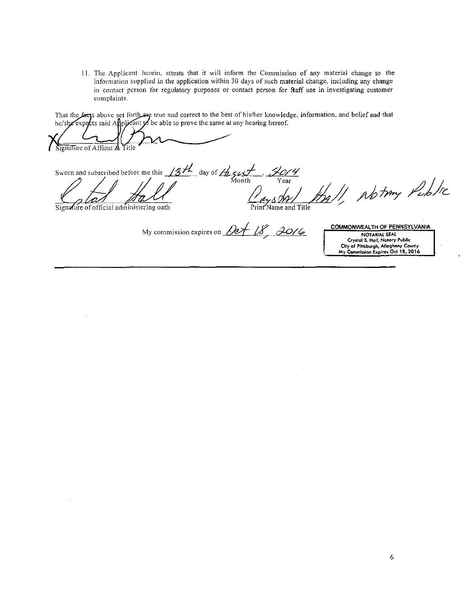11. The Applicant herein, attests that it will inform the Commission of any material change to the information supplied in the application within 30 days of such material change, including any change in contact person for regulatory purposes or contact person for 9aff use in investigating customer complaints.

That the facts above set forth are true and correct to the best of his/her knowledge, information, and belief and that he/she expects said Applicant to be able to prove the same at any hearing hereof.

Signature of Affiant & Title Sworn and subscribed before me this /^^ ^ day of/7y^<^;<,/ , f\_j7^^/''p^

 $\frac{1}{\sqrt{2}}\frac{1}{\sqrt{2}}\frac{1}{\sqrt{2}}$  Month Year  $\frac{1}{\sqrt{2}}\frac{1}{\sqrt{2}}$  //  $\frac{1}{\sqrt{2}}$  //  $\frac{1}{\sqrt{2}}$  //  $\frac{1}{\sqrt{2}}$ 

 $\overline{\text{Sigma}}$  and  $\overline{\text{Sigma}}$  of official administering oath

My commission expires on  $\mathcal{Q}e\leftarrow\mathcal{QS}$  2016

COMMONWEAITH OF PENNSYLVANIA NOTARIAL SEAL

Cfyttol S. Hall, Notory Pubile CHy of PIttiburgh, Allegheny County My Commission Expires Oct 18, 2016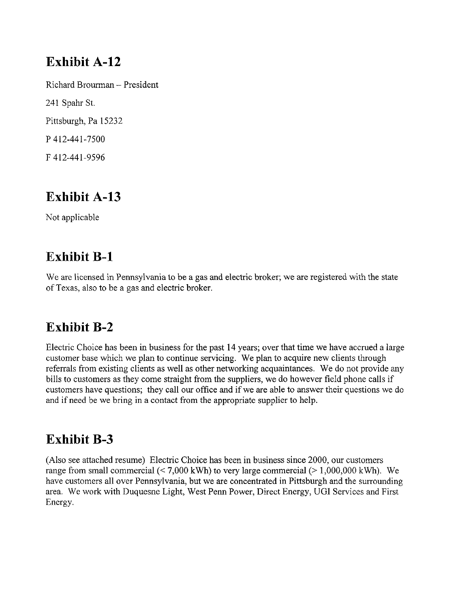### Exhibit A-12

Richard Brourman - President 241 Spahr St. Pittsburgh, Pa 15232 p 412-441-7500 F 412-441-9596

### Exhibit A-13

Not applicable

### Exhibit B-1

We are licensed in Pennsylvania to be a gas and electric broker; we are registered with the state of Texas, also to be a gas and electric broker.

### Exhibit B-2

Electric Choice has been in business for the past 14 years; over that time we have accrued a large customer base which we plan to continue servicing. We plan to acquire new clients through referrals from existing clients as well as other networking acquaintances. We do not provide any bills to customers as they come straight from the suppliers, we do however field phone calls if customers have questions; they call our office and if we are able to answer their questions we do and if need be we bring in a contact from the appropriate supplier to help.

### Exhibit B-3

(Also see attached resume) Electric Choice has been in business since 2000, our customers range from small commercial  $\langle 7,000 \text{ kWh} \rangle$  to very large commercial  $\langle 2,1,000,000 \text{ kWh} \rangle$ . We have customers all over Pennsylvania, but we are concentrated in Pittsburgh and the surrounding area. We work with Duquesne Light, West Perm Power, Direct Energy, UGI Services and First Energy.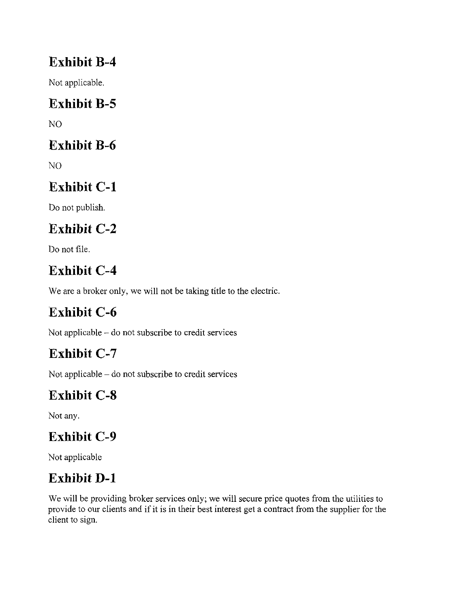### Exhibit B-4

Not applicable.

# Exhibit B-5

NO

### Exhibit B-6

NO

# Exhibit C-1

Do not publish.

# Exhibit C-2

Do not file.

# Exhibit C-4

We are a broker only, we will not be taking title to the electric.

# Exhibit C-6

Not applicable - do not subscribe to credit services

# Exhibit C-7

Not applicable - do not subscribe to credit services

# Exhibit C-8

Not any.

# Exhibit C-9

Not applicable

# Exhibit D-1

We will be providing broker services only; we will secure price quotes from the utilities to provide to our clients and if it is in their best interest get a contract from the supplier for the client to sign.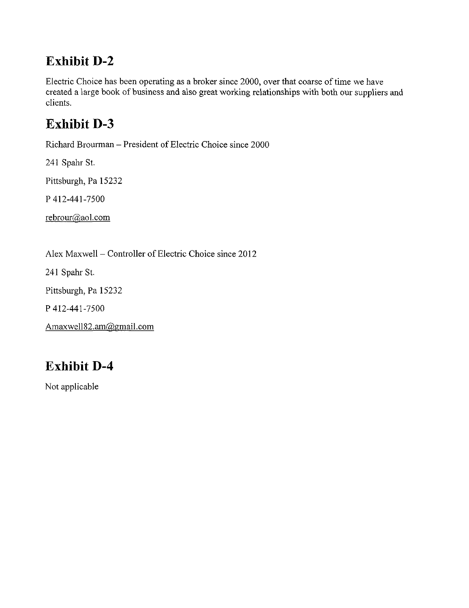### Exhibit D-2

Electric Choice has been operating as a broker since 2000, over that coarse of time we have created a large book of business and also great working relationships with both our suppliers and clients.

### Exhibit D-3

Richard Brourman - President of Electric Choice since 2000

241 Spahr St.

Pittsburgh, Pa 15232

P 412-441-7500

rebrour@aol.com

Alex Maxwell - Controller of Electric Choice since 2012

241 Spahr St.

Pittsburgh, Pa 15232

p 412-441-7500

Amaxwell82.am@gmail.com

# Exhibit D-4

Not applicable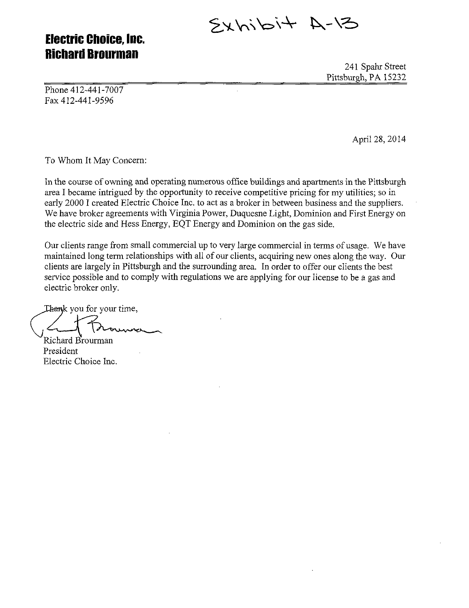$5/4 + 4 - 12$ 

### Electric Choice, Inc. **Richard Brourman**

241 Spahr Street Pittsburgh, PA 15232

Phone 412-441-7007 Fax 412-441-9596

April 28, 2014

To Whom It May Concern:

In the course of owning and operating numerous office buildings and apartments in the Pittsburgh area I became intrigued by the opportunity to receive competitive pricing for my utilities; so in early 2000 I created Electric Choice Inc. to act as a broker in between business and the suppliers. We have broker agreements with Virginia Power, Duquesne Light, Dominion and First Energy on the electric side and Hess Energy, EQT Energy and Dominion on the gas side.

Our clients range from small commercial up to very large commercial in terms of usage. We have maintained long term relationships with all of our clients, acquiring new ones along the way. Our clients are largely in Pittsburgh and the surrounding area. In order to offer our clients the best service possible and to comply with regulations we are applying for our license to be a gas and electric broker only.

Thank you for your time,  $\backslash$ ,  $\leftarrow$   $\setminus$ ,  $\setminus$   $\setminus$   $\setminus$ Richard Brourman

President Electric Choice Inc.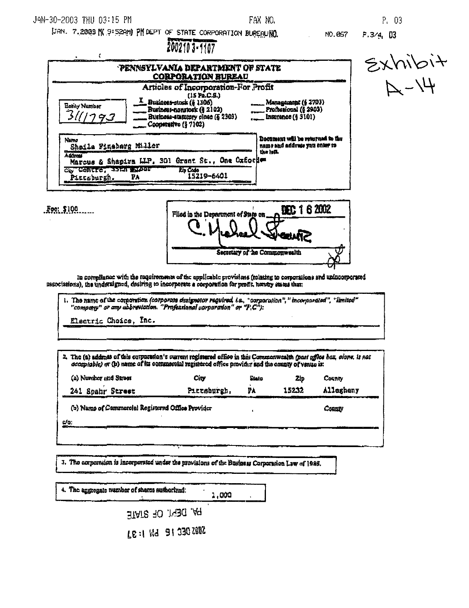#### JAN-30-2003 THU 03:15 PM

 $E(0, 100, \ldots)$ 

FAX NO.

P. 03

UAN. 7.2003 N 9:52AM) PM DEPT OF STATE CORPORATION BUREAUNO.

NO.067  $P.3/4, 03$ 2002103-1107  $x\rightarrow 4$ <br> $x\rightarrow 4$  $\epsilon$ PENNSYLVANIA DEPARTMENT OF STATE **CORPORATION BUREAU** Articles of Incorporation-For Profit  $(15 \text{ Pa.C.S.})$ E Business-stock (§ 1306) .<br>Management (§ 2703)<br>, Professional (§ 2903) Entity Mumber Business-nonstock (§ 2102) ک Business-statutory close (§ 2303) Insurance (§ 9101) 7. Cooperative (§ 7102) Document will be returned to the Namo name and address you enter to Shaila Finabarg Miller the laft. **Adam** Marcus & Shapirm LLP. 301 Grant St., One Oxfor em CONCTET JOEN ENDOT **Eip Cada** टाउ 15219-6401 PA Pirtsburgh.



In compliance with the requirements of the applicable provisions (relating to corporations and unincosporated ussociations), the underalgued, desiring to incorporate a corporation for profit, hereby seates that:

The name of the commission (corporate dasignator regulred, i.e., "corporation", "incorporated", "limited" "company" or any abbreviation. "Professional corporation" or "F(C"):

Electric Choice, Inc.

2. The (a) address of this corputation's surrent registered office in this Commonwealth (past office hox, clone, is not acceptable) or (p) name of its commercial registered office provider and the county of venue is: (a) Number and Street **City** State County Zip 15232 Allegheny Pittsburgh. PА 241 Spahr Street (b) Name of Commoroial Registered Office Provider County  $c/c$ :

3. The corporation is incorporated under the provisions of the Business Corporation Law of 1986.

| $\vert$ 4. The aggregate number of shares suthorized: | 1.000 |  |
|-------------------------------------------------------|-------|--|
| PA. DEPT. OF STATE                                    |       |  |
| <b>SOBS DEC 18 HALLER 1:33</b>                        |       |  |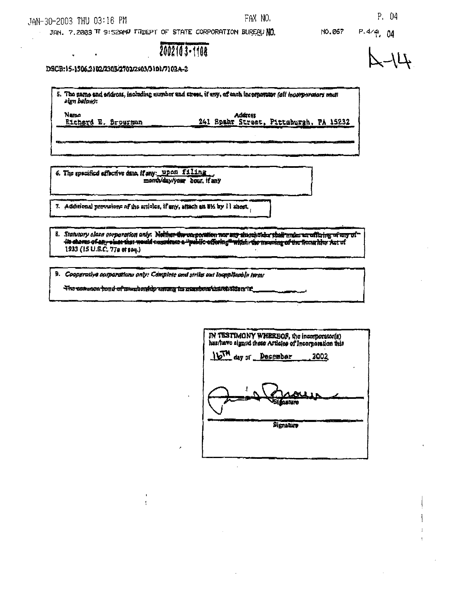$\frac{1}{2}$  .

 $\ddot{\phantom{a}}$ 

JAN. 7.2003 TT 9:52AMP FIDEPT OF STATE CORPORATION BUREAU NO.

NO.067

 $P.4/4$ , 04

2002103-1108

DSCB:15-1506.2102/2303/2702/2903/3101/7102A-2

| 5. The name and eddress, including number and street, if any, of each incorporator (all incorporators must<br>sign below): |                                                   |  |  |  |
|----------------------------------------------------------------------------------------------------------------------------|---------------------------------------------------|--|--|--|
| Namo<br>Richard<br>Brouthan                                                                                                | Address<br>241 Spakr Street, Pittaburgh, PA 15232 |  |  |  |
|                                                                                                                            |                                                   |  |  |  |

FAX NO.

6. The specified effective date, if any: upon filing mondy day year bour, if any

7. Additional prevations of the articles, if any, attach an 81% by 11 sheet.

### 8. Statutory class corporation only. Nother the emposition next att alumistical shall make an officing of any ofthe charge of any state that weald accounters a "public offering" within the meaning of the ficent him Act of

9. Cooperative corporations only: Complete and strike out inapplicable terms

The cononca houd of mandership among its negulated that that alders it.

| IN TESTIMONY WHEREOF, the incorporator(s)<br>hes/have signed these Articles of Incorporation this |             |  |  |  |
|---------------------------------------------------------------------------------------------------|-------------|--|--|--|
| 16TH day or Desember                                                                              | 2002        |  |  |  |
| <b>Villasiure</b>                                                                                 | <u>alis</u> |  |  |  |
| Signature                                                                                         |             |  |  |  |
|                                                                                                   |             |  |  |  |

 $41 - 2$ 

P. 04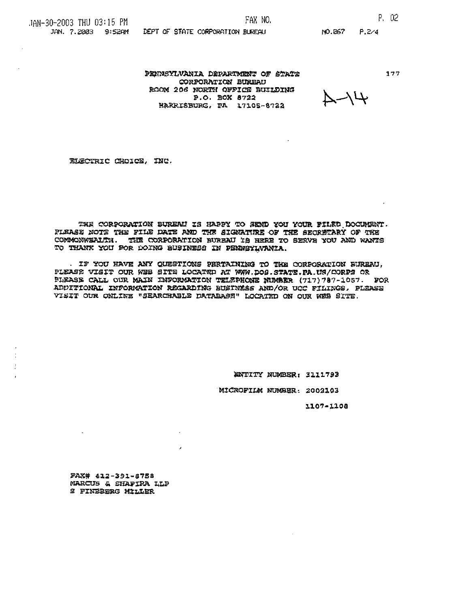#### FAX NO.

 $177$ 

PENNSYLVANIA DEPARTMENT OF STATE CORPORATION BURBAU ROOM 206 NORTH OFFICE BUILDING P.O. BOX 8722 HARRISBURG, PA 17105-8722

DEPT OF STATE CORPORATION BUREAU

 $4/4$ 

ELECTRIC CHOICE, INC.

THE CORPORATION BUREAU IS HAPPY TO SEMD YOU YOUR FILED DOCUMENT. FLEASE NOTE THE FILE DATE AND THE SIGNATIRE OF THE SECRETARY OF THE COMMONWEALTH. THE CORPORATION BUREAU IS HERE TO SERVE YOU AND WANTS TO THANK YOU FOR DOING BUSINESS IN PENNSYLVANIA.

IF YOU HAVE ANY QUESTIONS PERTAINING TO THE CORPORATION BUREAU. PLEASE VISIT OUR WHE SITE LOCATED AT WWW.DOS.STATE.PA.US/CORPS OR PLEASE CALL OUR MAIN INFORMATION TELEPHONE NUMBER (717) 787-1057. FOR ADDITIONAL INFORMATION REGARDING BUSINESS AND/OR UCC FILINGS, PLEASE VISIT OUR ONLINE "SEARCHABLE DATABASE" LOCATED ON OUR WEB SITE.

ENTITY NUMBER: 3111793

MICROFILM NUMBER: 2002103

1107-1108

FAX# 412-391-8758 MARCUS & SHAPIRA LLP **S FINEBERG MILLER** 

 $\sim$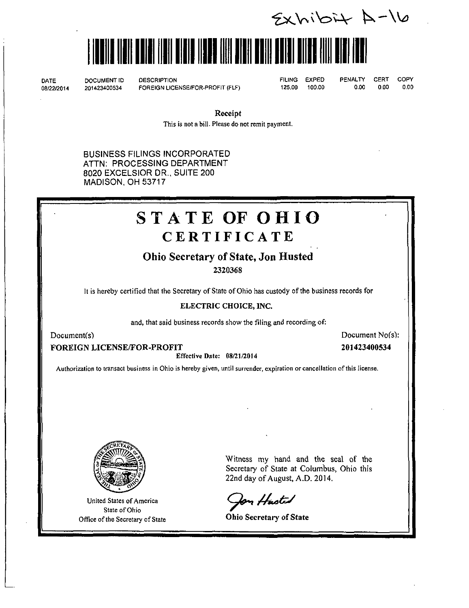$2x$ Wibit  $A-16$ 

# liiililililiilllllllllilllllll

DATE DOCUMENT ID DESCRIPTION<br>08/22/2014 201423400534 FOREIGN LICE

08/22/2014 201423400534 FOREIGN LICENSE/FOR-PROFIT (FLF)

FILING EXPED PENALTY CERT COPY 125.00 100.00 0.00 0.00 0.00

Receipt

This is not a bill. Please do not remit payment.

BUSINESS FILINGS INCORPORATED ATTN: PROCESSING DEPARTMENT 8020 EXCELSIOR DR.. SUITE 200 MADISON, OH 53717

# STATE OF OHIO **CERTIFICATE**

#### Ohio Secretary of State, Jon Husted

2320368

It is hereby certified that the Secretary of State of Ohio has custody of the business records for

#### ELECTRIC CHOICE, INC.

and, that said business records show the filing and recording of:

FOREIGN LICENSE/FOR-PROFIT 201423400534

Effective Date: 08/21/2014

Document(s) Document No(s):

Authorization to transact business in Ohio is hereby given, until surrender, expiration or cancellation of this license.



United States of America State of Ohio Office of the Secretary of State Ohio Secretary of State

Witness my hand and the seal of the Secretary of State at Columbus, Ohio this 22nd day of August. A.D. 2014.

Jon Husted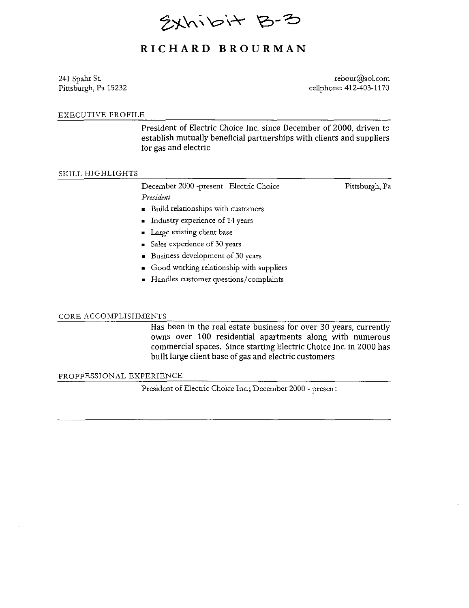Exhibit B-3

#### RICHAR D BROURMA N

241 Spahr St. [rebour@aol.com](mailto:rebour@aol.com) Pittsburgh, Pa 15232 cellphone: 412-403-1170

#### EXECUTIVE PROFILE

President of Electric Choice Inc. since December of 2000, driven to establish mutually beneficial partnerships with clients and suppliers for gas and electric

#### SKILL HIGHLIGHTS

December 2000 -present Electric Choice Pittsburgh, Pa President

- Build relationships with customers
- Industry experience of 14 years
- Large existing client base
- Sales experience of 30 years
- Business development of 30 years
- Good working relationship with suppliers
- Handles customer questions/complaints

#### CORE ACCOMPLISHMENTS

Has been in the real estate business for over 30 years, currently owns over 100 residential apartments along with numerous commercial spaces. Since starting Electric Choice Inc. in 2000 has built large client base of gas and electric customers

#### PROFFESSIONAL EXPERIENCE

President of Electric Choice Inc.; December 2000 - present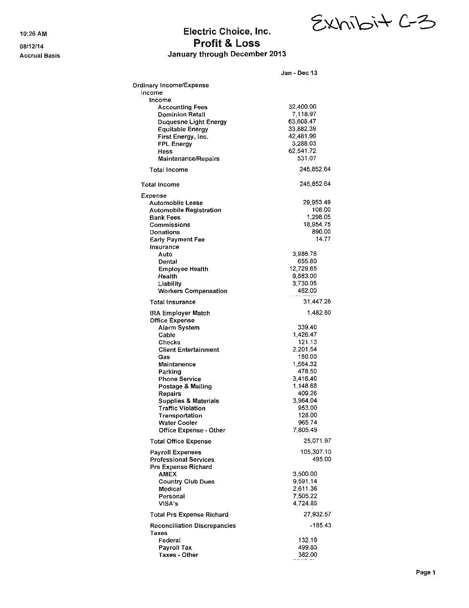#### 10:26 AM Electric Choice, Inc. 08/12/14 08/12/14 Accrual Basis **Accrual Basis January through December 2013**

|                                                         | Jan - Dec 13          |
|---------------------------------------------------------|-----------------------|
| Ordinary Income/Expense                                 |                       |
| Income                                                  |                       |
| Income                                                  |                       |
| <b>Accounting Fees</b>                                  | 32,400.00             |
| <b>Dominion Retail</b>                                  | 7.118.97              |
| <b>Duquesne Light Energy</b>                            | 63,608.47             |
| <b>Equitable Energy</b>                                 | 33,882.39             |
| First Energy, Inc.                                      | 42,481.99             |
| <b>FPL Energy</b><br>Hess                               | 3,288.03<br>62,541.72 |
| <b>Maintenance/Repairs</b>                              | 531.07                |
| <b>Total Income</b>                                     | 245,852.64            |
| <b>Total Income</b>                                     | 245,852.64            |
| Expense                                                 |                       |
| Automobile Lease                                        | 29,953.49             |
| <b>Automobile Registration</b>                          | 108.00                |
| <b>Bank Fees</b>                                        | 1,298.05              |
| Commissions                                             | 18,954.75             |
| <b>Donations</b>                                        | 890.00                |
| Early Payment Fee                                       | 14.77                 |
| Insurance                                               |                       |
| Auto<br>Dental                                          | 3,986.76<br>655.80    |
| Employee Health                                         | 12,729.65             |
| Health                                                  | 9,883.00              |
| Liability                                               | 3,730.05              |
| Workers Compensation                                    | 462.00                |
| <b>Total Insurance</b>                                  | 31,447.26             |
| <b>IRA Employer Match</b>                               | 1,482.80              |
| <b>Office Expense</b>                                   |                       |
| Alarm System                                            | 339.40                |
| Cable                                                   | 1,426.47              |
| Checks                                                  | 121.13                |
| <b>Client Entertainment</b>                             | 2,201.54              |
| Gas<br>Maintanence                                      | 150.00<br>1,564.32    |
| Parking                                                 | 478.50                |
| <b>Phone Service</b>                                    | 3,416.40              |
| Postage & Mailing                                       | 1,148.68              |
| Repairs                                                 | 409.26                |
| <b>Supplies &amp; Materials</b>                         | 3,964.04              |
| <b>Traffic Violation</b>                                | 953.00                |
| <b>ι ransportation</b>                                  | 128.00                |
| Water Cooler<br>Office Expense - Other                  | 965.74<br>7,805.49    |
|                                                         |                       |
| <b>Total Office Expense</b>                             | 25,071.97             |
| <b>Payroll Expenses</b><br><b>Professional Services</b> | 105,307.10<br>495.00  |
| Prs Expense Richard                                     |                       |
| <b>AMEX</b>                                             | 3,500.00              |
| <b>Country Club Dues</b>                                | 9,591.14              |
| Medical                                                 | 2.611.36              |
| Personal                                                | 7.505.22              |
| VISA's                                                  | 4.724.85              |
| Total Prs Expense Richard                               | 27,932.57             |
| <b>Reconciliation Discrepancies</b><br>Taxes            | -185.43               |
| Federal                                                 | 132.19                |
| Payroll Tax                                             | 499.83                |
| Taxes - Other                                           | 382.00                |

 $E$ Xhibit  $c-3$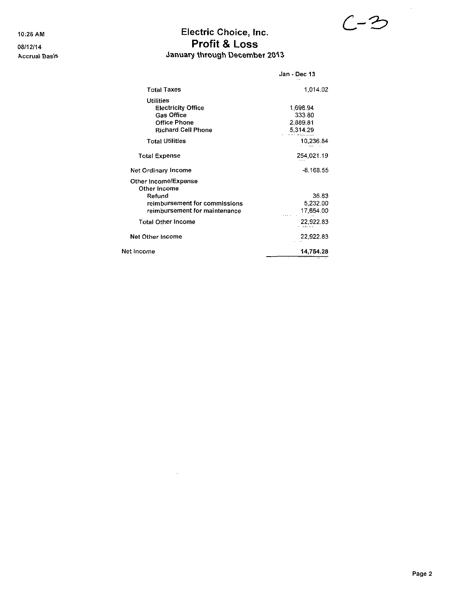### 10:26 AM Electric Choice, Inc.  $C-^{\prime\prime}$ 08/12/14 08/12/14 Accrual Basis **January through December 2013**

|                               | Jan - Dec 13        |
|-------------------------------|---------------------|
| <b>Total Taxes</b>            | 1.014.02            |
| <b>Utilities</b>              |                     |
| <b>Electricity Office</b>     | 1,698.94            |
| <b>Gas Office</b>             | 333.80              |
| <b>Office Phone</b>           | 2.889.81            |
| <b>Richard Cell Phone</b>     | 5,314.29            |
| <b>Total Utilities</b>        | 10,236.84           |
| <b>Total Expense</b>          | 254,021.19          |
| Net Ordinary Income           | $-8.168.55$         |
| Other Income/Expense          |                     |
| Other Income                  |                     |
| Refund                        | 36.83               |
| reimbursement for commissions | 5,232.00            |
| reimbursement for maintenance | 17,654.00           |
| <b>Total Other Income</b>     | 22,922.83           |
| Net Other Income              | 22,922.83           |
| Net Income                    | 14.754.28<br>$\sim$ |

 $\ddot{\phantom{1}}$ 

 $\bar{z}$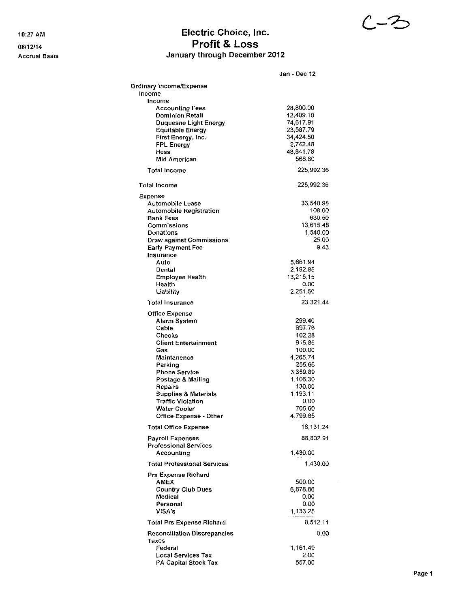#### 10:27 AM Electric Choice, Inc. 08/12/14 08/12/14 Accrual Basis **Accrual Basis** January through December 2012

|                                                         | Jan - Dec 12         |
|---------------------------------------------------------|----------------------|
| Ordinary Income/Expense                                 |                      |
| Income                                                  |                      |
| Income                                                  |                      |
| <b>Accounting Fees</b>                                  | 28,800.00            |
| <b>Dominion Retail</b>                                  | 12.409.10            |
| <b>Duquesne Light Energy</b>                            | 74,617.91            |
| <b>Equitable Energy</b>                                 | 23,587.79            |
| First Energy, Inc.                                      | 34,424.50            |
| <b>FPL Energy</b>                                       | 2,742.48             |
| Hess                                                    | 48,841.78            |
| <b>Mid American</b>                                     | 568.80               |
| <b>Total Income</b>                                     | 225,992.36           |
| <b>Total Income</b>                                     | 225,992.36           |
| Expense                                                 |                      |
| Automobile Lease                                        | 33.548.98            |
| Automobile Registration                                 | 108.00               |
| Bank Fees                                               | 630.50               |
| Commissions                                             | 13,615.48            |
| Donations                                               | 1,540.00             |
| <b>Draw against Commissions</b>                         | 25.00                |
| <b>Early Payment Fee</b>                                | 9.43                 |
| Insurance                                               |                      |
| Auto                                                    | 5,661.94<br>2,192.85 |
| Dental                                                  | 13,215.15            |
| <b>Employee Health</b><br>Health                        | 0.00                 |
| Liability                                               | 2,251.50             |
|                                                         |                      |
| <b>Total Insurance</b>                                  | 23 321.44            |
| Office Expense                                          | 299.40               |
| Alarm System<br>Cable                                   | 897.76               |
| Checks                                                  | 102.28               |
| <b>Client Entertainment</b>                             | 915.85               |
| Gas                                                     | 100.00               |
| Maintanence                                             | 4.265.74             |
| Parking                                                 | 255.66               |
| <b>Phone Service</b>                                    | 3.359.89             |
| Postage & Mailing                                       | 1 106.30             |
| Repairs                                                 | 130.00               |
| <b>Supplies &amp; Materials</b>                         | 1,193.11             |
| <b>Traffic Violation</b>                                | 0.00                 |
| Water Cooler                                            | 705.60               |
| Office Expense - Other                                  | 4,799.65             |
| <b>Total Office Expense</b>                             | 18.131.24            |
| <b>Payroll Expenses</b><br><b>Professional Services</b> | 88,802.91            |
| Accounting                                              | 1,430.00             |
| <b>Total Professional Services</b>                      | 1,430.00             |
| Prs Expense Richard                                     |                      |
| AMEX                                                    | 500.00               |
| <b>Country Club Dues</b>                                | 6.878.86             |
| Medical<br>Personal                                     | 0.00<br>0.00         |
| VISA's                                                  | 1, 133, 25           |
|                                                         |                      |
| <b>Total Prs Expense Richard</b>                        | 8,512.11             |
| <b>Reconciliation Discrepancies</b>                     | 0.00                 |
| Taxes                                                   |                      |
| Federal                                                 | 1,161.49             |
| <b>Local Services Tax</b>                               | 2.00                 |
| PA Capital Stock Tax                                    | 557.00               |

 $\bar{\mathcal{A}}$ 

 $C - 3$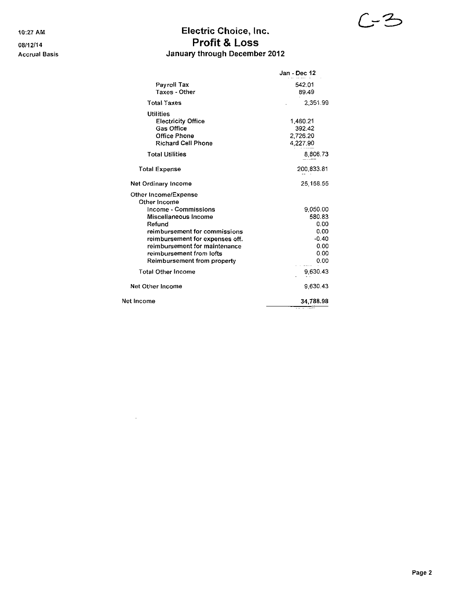### 10:27 AM **Electric Choice, Inc.** 08/12/14 Profit & Loss Accrual Basis **Accrual Basis January through December 2012**

|                                 | Jan - Dec 12 |
|---------------------------------|--------------|
| Payroll Tax                     | 542.01       |
| Taxes - Other                   | 89.49        |
| <b>Total Taxes</b>              | 2.351.99     |
| <b>Utilities</b>                |              |
| <b>Electricity Office</b>       | 1,460.21     |
| <b>Gas Office</b>               | 392.42       |
| <b>Office Phone</b>             | 2,726.20     |
| <b>Richard Cell Phone</b>       | 4 227.90     |
| <b>Total Utilities</b>          | 8,806.73     |
| <b>Total Expense</b>            | 200,833.81   |
| Net Ordinary Income             | 25 158.55    |
| Other Income/Expense            |              |
| Other Income                    |              |
| Income - Commissions            | 9.050.00     |
| Miscellaneous Income            | 580.83       |
| Refund                          | 0.00         |
| reimbursement for commissions   | 0.00         |
| reimbursement for expenses off. | $-0.40$      |
| reimbursement for maintenance   | 0.00         |
| reimbursement from lofts        | 0.00         |
| Reimbursement from property     | 0.00         |
| <b>Total Other Income</b>       | 9,630.43     |
| Net Other Income                | 9.630.43     |
| Net Income                      | 34.788.98    |

 $\sim 10^7$ 

 $C-3$